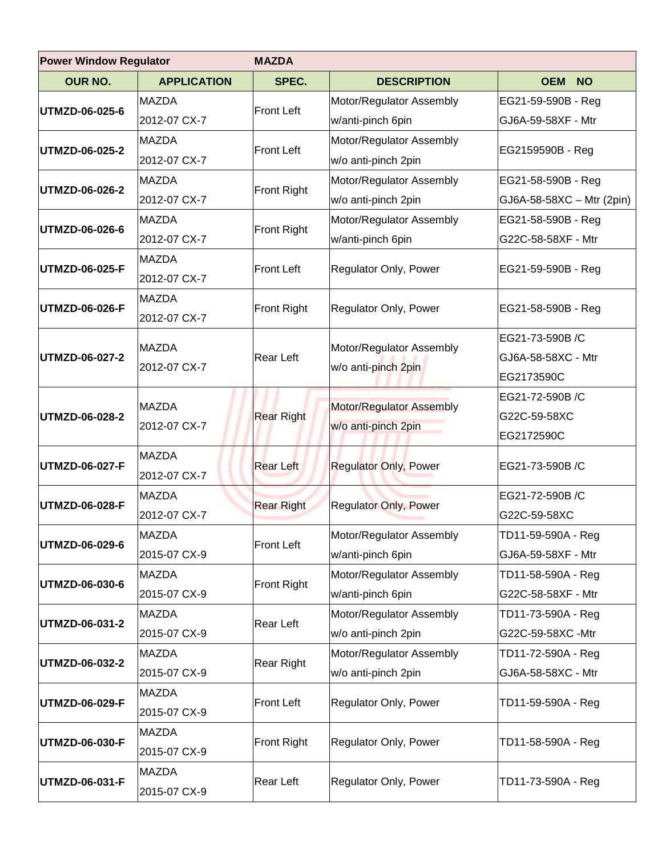| <b>Power Window Regulator</b> |                    | <b>MAZDA</b>       |                                                 |                           |  |
|-------------------------------|--------------------|--------------------|-------------------------------------------------|---------------------------|--|
| <b>OUR NO.</b>                | <b>APPLICATION</b> | SPEC.              | <b>DESCRIPTION</b>                              | <b>OEM</b><br><b>NO</b>   |  |
| UTMZD-06-025-6                | <b>MAZDA</b>       | <b>Front Left</b>  | Motor/Regulator Assembly                        | EG21-59-590B - Reg        |  |
|                               | 2012-07 CX-7       |                    | w/anti-pinch 6pin                               | GJ6A-59-58XF - Mtr        |  |
| UTMZD-06-025-2                | <b>MAZDA</b>       | <b>Front Left</b>  | Motor/Regulator Assembly                        | EG2159590B - Reg          |  |
|                               | 2012-07 CX-7       |                    | w/o anti-pinch 2pin                             |                           |  |
| UTMZD-06-026-2                | <b>MAZDA</b>       | Front Right        | Motor/Regulator Assembly                        | EG21-58-590B - Reg        |  |
|                               | 2012-07 CX-7       |                    | w/o anti-pinch 2pin                             | GJ6A-58-58XC - Mtr (2pin) |  |
| UTMZD-06-026-6                | <b>MAZDA</b>       |                    | Motor/Regulator Assembly                        | EG21-58-590B - Reg        |  |
|                               | 2012-07 CX-7       | <b>Front Right</b> | w/anti-pinch 6pin                               | G22C-58-58XF - Mtr        |  |
| <b>UTMZD-06-025-F</b>         | <b>MAZDA</b>       | <b>Front Left</b>  | Regulator Only, Power                           | EG21-59-590B - Reg        |  |
|                               | 2012-07 CX-7       |                    |                                                 |                           |  |
| <b>UTMZD-06-026-F</b>         | <b>MAZDA</b>       | Front Right        | Regulator Only, Power                           |                           |  |
|                               | 2012-07 CX-7       |                    |                                                 | EG21-58-590B - Reg        |  |
|                               | <b>MAZDA</b>       |                    |                                                 | EG21-73-590B/C            |  |
| UTMZD-06-027-2                | 2012-07 CX-7       | Rear Left          | Motor/Regulator Assembly<br>w/o anti-pinch 2pin | GJ6A-58-58XC - Mtr        |  |
|                               |                    |                    |                                                 | EG2173590C                |  |
|                               | <b>MAZDA</b>       |                    | Motor/Regulator Assembly<br>w/o anti-pinch 2pin | EG21-72-590B/C            |  |
| <b>UTMZD-06-028-2</b>         | 2012-07 CX-7       | <b>Rear Right</b>  |                                                 | G22C-59-58XC              |  |
|                               |                    |                    |                                                 | EG2172590C                |  |
| <b>UTMZD-06-027-F</b>         | <b>MAZDA</b>       | <b>Rear Left</b>   | <b>Regulator Only, Power</b>                    | EG21-73-590B /C           |  |
|                               | 2012-07 CX-7       |                    |                                                 |                           |  |
| <b>UTMZD-06-028-F</b>         | <b>MAZDA</b>       |                    | <b>Regulator Only, Power</b>                    | EG21-72-590B/C            |  |
|                               | 2012-07 CX-7       | <b>Rear Right</b>  |                                                 | G22C-59-58XC              |  |
| UTMZD-06-029-6                | <b>MAZDA</b>       | <b>Front Left</b>  | Motor/Regulator Assembly                        | TD11-59-590A - Reg        |  |
|                               | 2015-07 CX-9       |                    | w/anti-pinch 6pin                               | GJ6A-59-58XF - Mtr        |  |
| <b>UTMZD-06-030-6</b>         | <b>MAZDA</b>       |                    | Motor/Regulator Assembly                        | TD11-58-590A - Reg        |  |
|                               | 2015-07 CX-9       | Front Right        | w/anti-pinch 6pin                               | G22C-58-58XF - Mtr        |  |
| UTMZD-06-031-2                | <b>MAZDA</b>       | Rear Left          | Motor/Regulator Assembly                        | TD11-73-590A - Reg        |  |
|                               | 2015-07 CX-9       |                    | w/o anti-pinch 2pin                             | G22C-59-58XC -Mtr         |  |
|                               | <b>MAZDA</b>       |                    | Motor/Regulator Assembly                        | TD11-72-590A - Reg        |  |
| UTMZD-06-032-2                | 2015-07 CX-9       | <b>Rear Right</b>  | w/o anti-pinch 2pin                             | GJ6A-58-58XC - Mtr        |  |
|                               | <b>MAZDA</b>       | <b>Front Left</b>  | Regulator Only, Power                           | TD11-59-590A - Reg        |  |
| UTMZD-06-029-F                | 2015-07 CX-9       |                    |                                                 |                           |  |
| UTMZD-06-030-F                | <b>MAZDA</b>       | <b>Front Right</b> | Regulator Only, Power                           | TD11-58-590A - Reg        |  |
|                               | 2015-07 CX-9       |                    |                                                 |                           |  |
| <b>UTMZD-06-031-F</b>         | <b>MAZDA</b>       |                    | Regulator Only, Power                           | TD11-73-590A - Reg        |  |
|                               | 2015-07 CX-9       | Rear Left          |                                                 |                           |  |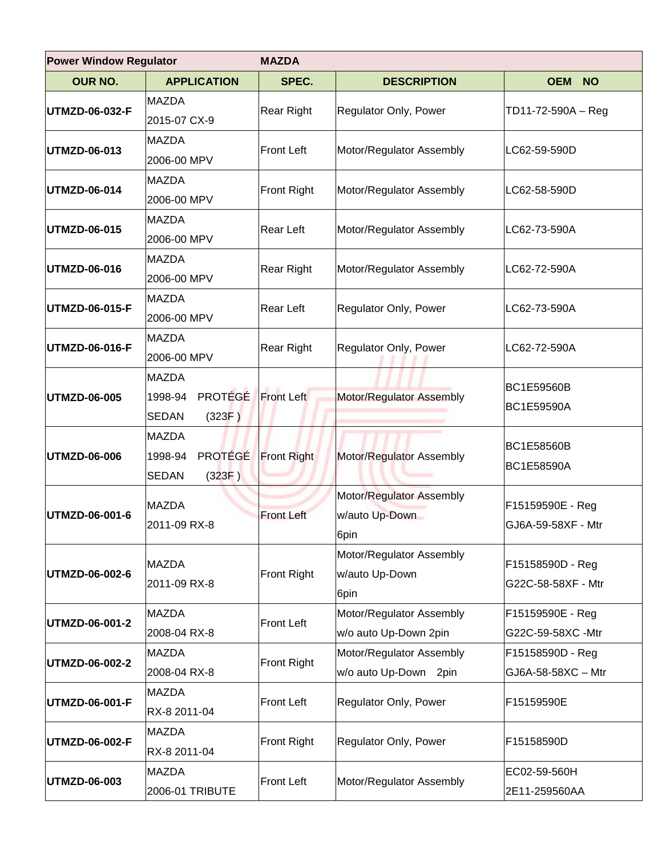| <b>Power Window Regulator</b> |                                                                     | <b>MAZDA</b>       |                                                    |                                        |  |
|-------------------------------|---------------------------------------------------------------------|--------------------|----------------------------------------------------|----------------------------------------|--|
| <b>OUR NO.</b>                | <b>APPLICATION</b>                                                  | SPEC.              | <b>DESCRIPTION</b>                                 | <b>OEM</b><br><b>NO</b>                |  |
| UTMZD-06-032-F                | <b>MAZDA</b><br>2015-07 CX-9                                        | Rear Right         | Regulator Only, Power                              | TD11-72-590A - Reg                     |  |
| <b>UTMZD-06-013</b>           | <b>MAZDA</b><br>2006-00 MPV                                         | <b>Front Left</b>  | Motor/Regulator Assembly                           | LC62-59-590D                           |  |
| UTMZD-06-014                  | <b>MAZDA</b><br>2006-00 MPV                                         | Front Right        | Motor/Regulator Assembly                           | LC62-58-590D                           |  |
| UTMZD-06-015                  | <b>MAZDA</b><br>2006-00 MPV                                         | Rear Left          | Motor/Regulator Assembly                           | LC62-73-590A                           |  |
| UTMZD-06-016                  | <b>MAZDA</b><br>2006-00 MPV                                         | Rear Right         | Motor/Regulator Assembly                           | LC62-72-590A                           |  |
| UTMZD-06-015-F                | <b>MAZDA</b><br>2006-00 MPV                                         | Rear Left          | Regulator Only, Power                              | LC62-73-590A                           |  |
| UTMZD-06-016-F                | <b>MAZDA</b><br>2006-00 MPV                                         | Rear Right         | Regulator Only, Power                              | LC62-72-590A                           |  |
| UTMZD-06-005                  | <b>MAZDA</b><br>PROTÉGÉ<br>1998-94<br><b>SEDAN</b><br>(323F)        | <b>Front Left</b>  | Motor/Regulator Assembly                           | <b>BC1E59560B</b><br><b>BC1E59590A</b> |  |
| UTMZD-06-006                  | <b>MAZDA</b><br><b>PROTÉGÉ</b><br>1998-94<br><b>SEDAN</b><br>(323F) | <b>Front Right</b> | Motor/Regulator Assembly                           | <b>BC1E58560B</b><br>BC1E58590A        |  |
| UTMZD-06-001-6                | <b>MAZDA</b><br>2011-09 RX-8                                        | <b>Front Left</b>  | Motor/Regulator Assembly<br>w/auto Up-Down<br>6pin | F15159590E - Reg<br>GJ6A-59-58XF - Mtr |  |
| UTMZD-06-002-6                | <b>MAZDA</b><br>2011-09 RX-8                                        | Front Right        | Motor/Regulator Assembly<br>w/auto Up-Down<br>6pin | F15158590D - Reg<br>G22C-58-58XF - Mtr |  |
| UTMZD-06-001-2                | <b>MAZDA</b><br>2008-04 RX-8                                        | <b>Front Left</b>  | Motor/Regulator Assembly<br>w/o auto Up-Down 2pin  | F15159590E - Reg<br>G22C-59-58XC -Mtr  |  |
| UTMZD-06-002-2                | <b>MAZDA</b><br>2008-04 RX-8                                        | <b>Front Right</b> | Motor/Regulator Assembly<br>w/o auto Up-Down 2pin  | F15158590D - Reg<br>GJ6A-58-58XC - Mtr |  |
| UTMZD-06-001-F                | <b>MAZDA</b><br>RX-8 2011-04                                        | <b>Front Left</b>  | Regulator Only, Power                              | F15159590E                             |  |
| UTMZD-06-002-F                | <b>MAZDA</b><br>RX-8 2011-04                                        | Front Right        | Regulator Only, Power                              | F15158590D                             |  |
| UTMZD-06-003                  | <b>MAZDA</b><br>2006-01 TRIBUTE                                     | <b>Front Left</b>  | Motor/Regulator Assembly                           | EC02-59-560H<br>2E11-259560AA          |  |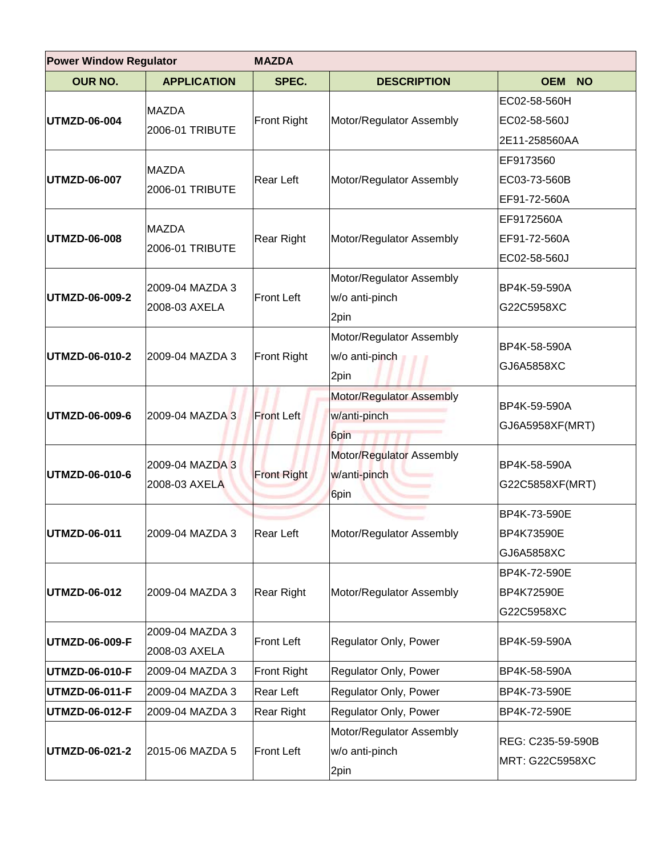| <b>Power Window Regulator</b> |                                  | <b>MAZDA</b>       |                                                    |                                                 |  |
|-------------------------------|----------------------------------|--------------------|----------------------------------------------------|-------------------------------------------------|--|
| <b>OUR NO.</b>                | <b>APPLICATION</b>               | SPEC.              | <b>DESCRIPTION</b>                                 | <b>OEM</b><br><b>NO</b>                         |  |
| UTMZD-06-004                  | <b>MAZDA</b><br>2006-01 TRIBUTE  | <b>Front Right</b> | Motor/Regulator Assembly                           | EC02-58-560H<br>EC02-58-560J<br>2E11-258560AA   |  |
| UTMZD-06-007                  | <b>MAZDA</b><br>2006-01 TRIBUTE  | Rear Left          | Motor/Regulator Assembly                           | EF9173560<br>EC03-73-560B<br>EF91-72-560A       |  |
| UTMZD-06-008                  | <b>MAZDA</b><br>2006-01 TRIBUTE  | <b>Rear Right</b>  | Motor/Regulator Assembly                           | EF9172560A<br>EF91-72-560A<br>EC02-58-560J      |  |
| UTMZD-06-009-2                | 2009-04 MAZDA 3<br>2008-03 AXELA | <b>Front Left</b>  | Motor/Regulator Assembly<br>w/o anti-pinch<br>2pin | BP4K-59-590A<br>G22C5958XC                      |  |
| UTMZD-06-010-2                | 2009-04 MAZDA 3                  | <b>Front Right</b> | Motor/Regulator Assembly<br>w/o anti-pinch<br>2pin | BP4K-58-590A<br>GJ6A5858XC                      |  |
| UTMZD-06-009-6                | 2009-04 MAZDA 3                  | <b>Front Left</b>  | Motor/Regulator Assembly<br>w/anti-pinch<br>6pin   | BP4K-59-590A<br>GJ6A5958XF(MRT)                 |  |
| UTMZD-06-010-6                | 2009-04 MAZDA 3<br>2008-03 AXELA | <b>Front Right</b> | Motor/Regulator Assembly<br>w/anti-pinch<br>6pin   | BP4K-58-590A<br>G22C5858XF(MRT)                 |  |
| UTMZD-06-011                  | 2009-04 MAZDA 3                  | <b>Rear Left</b>   | Motor/Regulator Assembly                           | BP4K-73-590E<br><b>BP4K73590E</b><br>GJ6A5858XC |  |
| UTMZD-06-012                  | 2009-04 MAZDA 3                  | <b>Rear Right</b>  | Motor/Regulator Assembly                           | BP4K-72-590E<br><b>BP4K72590E</b><br>G22C5958XC |  |
| UTMZD-06-009-F                | 2009-04 MAZDA 3<br>2008-03 AXELA | <b>Front Left</b>  | Regulator Only, Power                              | BP4K-59-590A                                    |  |
| UTMZD-06-010-F                | 2009-04 MAZDA 3                  | <b>Front Right</b> | Regulator Only, Power                              | BP4K-58-590A                                    |  |
| UTMZD-06-011-F                | 2009-04 MAZDA 3                  | Rear Left          | Regulator Only, Power                              | BP4K-73-590E                                    |  |
| UTMZD-06-012-F                | 2009-04 MAZDA 3                  | <b>Rear Right</b>  | Regulator Only, Power                              | BP4K-72-590E                                    |  |
| UTMZD-06-021-2                | 2015-06 MAZDA 5                  | <b>Front Left</b>  | Motor/Regulator Assembly<br>w/o anti-pinch<br>2pin | REG: C235-59-590B<br>MRT: G22C5958XC            |  |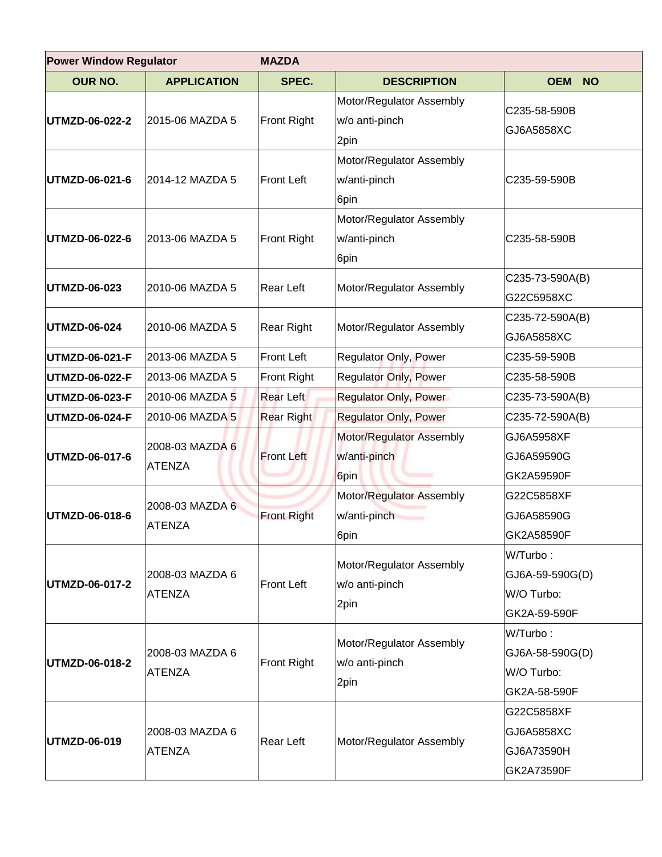| <b>Power Window Regulator</b> |                                  | <b>MAZDA</b>       |                                                    |                         |  |
|-------------------------------|----------------------------------|--------------------|----------------------------------------------------|-------------------------|--|
| <b>OUR NO.</b>                | <b>APPLICATION</b>               | SPEC.              | <b>DESCRIPTION</b>                                 | <b>OEM</b><br><b>NO</b> |  |
|                               |                                  |                    | Motor/Regulator Assembly                           | C235-58-590B            |  |
| UTMZD-06-022-2                | 2015-06 MAZDA 5                  | Front Right        | w/o anti-pinch                                     | GJ6A5858XC              |  |
|                               |                                  |                    | 2pin                                               |                         |  |
|                               |                                  |                    | Motor/Regulator Assembly                           |                         |  |
| UTMZD-06-021-6                | 2014-12 MAZDA 5                  | <b>Front Left</b>  | w/anti-pinch                                       | C235-59-590B            |  |
|                               |                                  |                    | 6pin                                               |                         |  |
|                               |                                  |                    | Motor/Regulator Assembly                           |                         |  |
| UTMZD-06-022-6                | 2013-06 MAZDA 5                  | Front Right        | w/anti-pinch                                       | C235-58-590B            |  |
|                               |                                  |                    | 6pin                                               |                         |  |
| UTMZD-06-023                  | 2010-06 MAZDA 5                  | Rear Left          | Motor/Regulator Assembly                           | C235-73-590A(B)         |  |
|                               |                                  |                    |                                                    | G22C5958XC              |  |
| UTMZD-06-024                  | 2010-06 MAZDA 5                  | Rear Right         | Motor/Regulator Assembly                           | C235-72-590A(B)         |  |
|                               |                                  |                    |                                                    | GJ6A5858XC              |  |
| UTMZD-06-021-F                | 2013-06 MAZDA 5                  | <b>Front Left</b>  | Regulator Only, Power                              | C235-59-590B            |  |
| UTMZD-06-022-F                | 2013-06 MAZDA 5                  | <b>Front Right</b> | <b>Regulator Only, Power</b>                       | C235-58-590B            |  |
| UTMZD-06-023-F                | 2010-06 MAZDA 5                  | <b>Rear Left</b>   | Regulator Only, Power                              | C235-73-590A(B)         |  |
| UTMZD-06-024-F                | 2010-06 MAZDA 5                  | <b>Rear Right</b>  | <b>Regulator Only, Power</b>                       | C235-72-590A(B)         |  |
|                               |                                  |                    | Motor/Regulator Assembly                           | GJ6A5958XF              |  |
| UTMZD-06-017-6                | 2008-03 MAZDA 6<br><b>ATENZA</b> | <b>Front Left</b>  | w/anti-pinch                                       | GJ6A59590G              |  |
|                               |                                  |                    | 6pin                                               | GK2A59590F              |  |
|                               | 2008-03 MAZDA 6<br><b>ATENZA</b> | <b>Front Right</b> | Motor/Regulator Assembly                           | G22C5858XF              |  |
| UTMZD-06-018-6                |                                  |                    | w/anti-pinch                                       | GJ6A58590G              |  |
|                               |                                  |                    | 6pin                                               | GK2A58590F              |  |
|                               | 2008-03 MAZDA 6<br><b>ATENZA</b> | <b>Front Left</b>  | Motor/Regulator Assembly<br>w/o anti-pinch<br>2pin | W/Turbo:                |  |
|                               |                                  |                    |                                                    | GJ6A-59-590G(D)         |  |
| UTMZD-06-017-2                |                                  |                    |                                                    | W/O Turbo:              |  |
|                               |                                  |                    |                                                    | GK2A-59-590F            |  |
| UTMZD-06-018-2                | 2008-03 MAZDA 6<br><b>ATENZA</b> | <b>Front Right</b> | Motor/Regulator Assembly<br>w/o anti-pinch<br>2pin | W/Turbo:                |  |
|                               |                                  |                    |                                                    | GJ6A-58-590G(D)         |  |
|                               |                                  |                    |                                                    | W/O Turbo:              |  |
|                               |                                  |                    |                                                    | GK2A-58-590F            |  |
| UTMZD-06-019                  | 2008-03 MAZDA 6<br><b>ATENZA</b> | Rear Left          | Motor/Regulator Assembly                           | G22C5858XF              |  |
|                               |                                  |                    |                                                    | GJ6A5858XC              |  |
|                               |                                  |                    |                                                    | GJ6A73590H              |  |
|                               |                                  |                    |                                                    | GK2A73590F              |  |